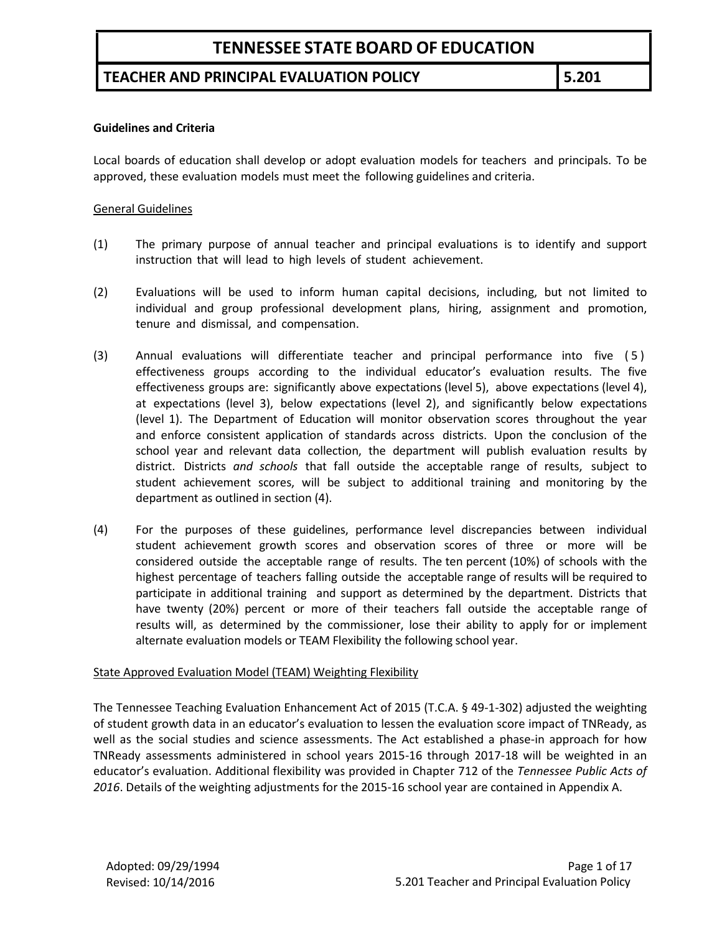## **TEACHER AND PRINCIPAL EVALUATION POLICY 5.201**

#### **Guidelines and Criteria**

Local boards of education shall develop or adopt evaluation models for teachers and principals. To be approved, these evaluation models must meet the following guidelines and criteria.

#### General Guidelines

- (1) The primary purpose of annual teacher and principal evaluations is to identify and support instruction that will lead to high levels of student achievement.
- (2) Evaluations will be used to inform human capital decisions, including, but not limited to individual and group professional development plans, hiring, assignment and promotion, tenure and dismissal, and compensation.
- (3) Annual evaluations will differentiate teacher and principal performance into five ( 5 ) effectiveness groups according to the individual educator's evaluation results. The five effectiveness groups are: significantly above expectations (level 5), above expectations (level 4), at expectations (level 3), below expectations (level 2), and significantly below expectations (level 1). The Department of Education will monitor observation scores throughout the year and enforce consistent application of standards across districts. Upon the conclusion of the school year and relevant data collection, the department will publish evaluation results by district. Districts *and schools* that fall outside the acceptable range of results, subject to student achievement scores, will be subject to additional training and monitoring by the department as outlined in section (4).
- (4) For the purposes of these guidelines, performance level discrepancies between individual student achievement growth scores and observation scores of three or more will be considered outside the acceptable range of results. The ten percent (10%) of schools with the highest percentage of teachers falling outside the acceptable range of results will be required to participate in additional training and support as determined by the department. Districts that have twenty (20%) percent or more of their teachers fall outside the acceptable range of results will, as determined by the commissioner, lose their ability to apply for or implement alternate evaluation models or TEAM Flexibility the following school year.

#### State Approved Evaluation Model (TEAM) Weighting Flexibility

The Tennessee Teaching Evaluation Enhancement Act of 2015 (T.C.A. § 49-1-302) adjusted the weighting of student growth data in an educator's evaluation to lessen the evaluation score impact of TNReady, as well as the social studies and science assessments. The Act established a phase-in approach for how TNReady assessments administered in school years 2015-16 through 2017-18 will be weighted in an educator's evaluation. Additional flexibility was provided in Chapter 712 of the *Tennessee Public Acts of 2016*. Details of the weighting adjustments for the 2015-16 school year are contained in Appendix A.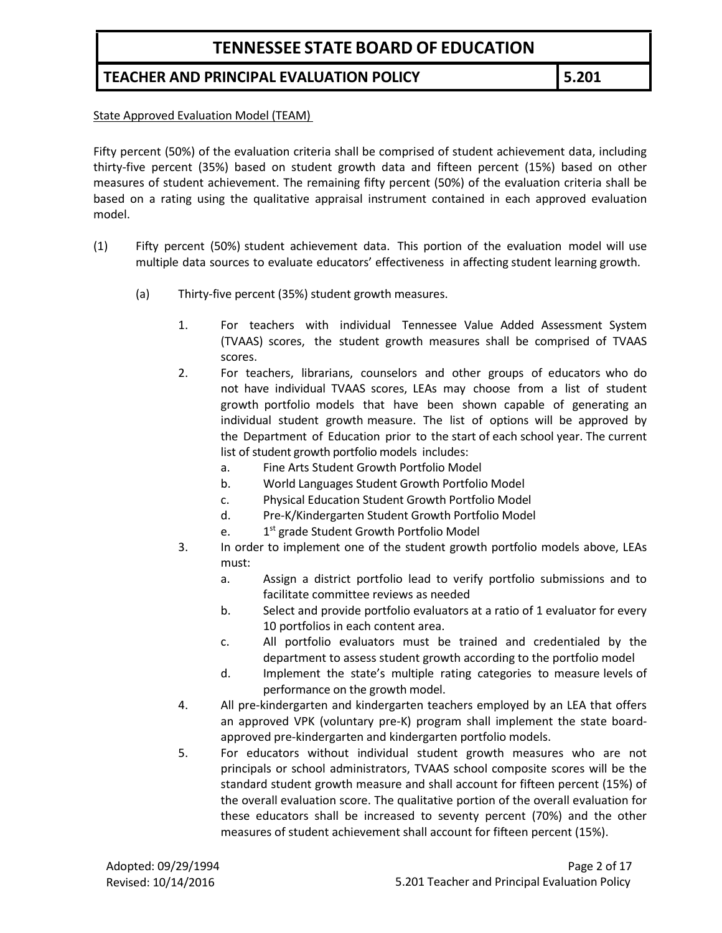## **TEACHER AND PRINCIPAL EVALUATION POLICY 5.201**

State Approved Evaluation Model (TEAM)

Fifty percent (50%) of the evaluation criteria shall be comprised of student achievement data, including thirty-five percent (35%) based on student growth data and fifteen percent (15%) based on other measures of student achievement. The remaining fifty percent (50%) of the evaluation criteria shall be based on a rating using the qualitative appraisal instrument contained in each approved evaluation model.

- (1) Fifty percent (50%) student achievement data. This portion of the evaluation model will use multiple data sources to evaluate educators' effectiveness in affecting student learning growth.
	- (a) Thirty-five percent (35%) student growth measures.
		- 1. For teachers with individual Tennessee Value Added Assessment System (TVAAS) scores, the student growth measures shall be comprised of TVAAS scores.
		- 2. For teachers, librarians, counselors and other groups of educators who do not have individual TVAAS scores, LEAs may choose from a list of student growth portfolio models that have been shown capable of generating an individual student growth measure. The list of options will be approved by the Department of Education prior to the start of each school year. The current list of student growth portfolio models includes:
			- a. Fine Arts Student Growth Portfolio Model
			- b. World Languages Student Growth Portfolio Model
			- c. Physical Education Student Growth Portfolio Model
			- d. Pre-K/Kindergarten Student Growth Portfolio Model
			- e. 1<sup>st</sup> grade Student Growth Portfolio Model
		- 3. In order to implement one of the student growth portfolio models above, LEAs must:
			- a. Assign a district portfolio lead to verify portfolio submissions and to facilitate committee reviews as needed
			- b. Select and provide portfolio evaluators at a ratio of 1 evaluator for every 10 portfolios in each content area.
			- c. All portfolio evaluators must be trained and credentialed by the department to assess student growth according to the portfolio model
			- d. Implement the state's multiple rating categories to measure levels of performance on the growth model.
		- 4. All pre-kindergarten and kindergarten teachers employed by an LEA that offers an approved VPK (voluntary pre-K) program shall implement the state boardapproved pre-kindergarten and kindergarten portfolio models.
		- 5. For educators without individual student growth measures who are not principals or school administrators, TVAAS school composite scores will be the standard student growth measure and shall account for fifteen percent (15%) of the overall evaluation score. The qualitative portion of the overall evaluation for these educators shall be increased to seventy percent (70%) and the other measures of student achievement shall account for fifteen percent (15%).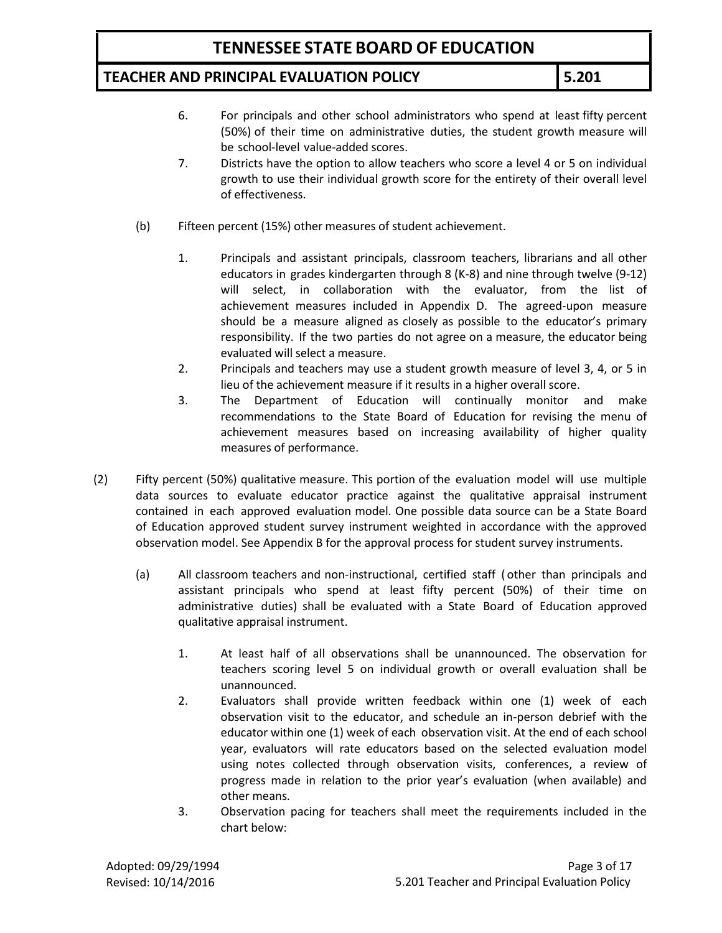### **TEACHER AND PRINCIPAL EVALUATION POLICY 5.201**

- 6. For principals and other school administrators who spend at least fifty percent (50%) of their time on administrative duties, the student growth measure will be school-level value-added scores.
- 7. Districts have the option to allow teachers who score a level 4 or 5 on individual growth to use their individual growth score for the entirety of their overall level of effectiveness.
- (b) Fifteen percent (15%) other measures of student achievement.
	- 1. Principals and assistant principals, classroom teachers, librarians and all other educators in grades kindergarten through 8 (K-8) and nine through twelve (9-12) will select, in collaboration with the evaluator, from the list of achievement measures included in Appendix D. The agreed-upon measure should be a measure aligned as closely as possible to the educator's primary responsibility. If the two parties do not agree on a measure, the educator being evaluated will select a measure.
	- 2. Principals and teachers may use a student growth measure of level 3, 4, or 5 in lieu of the achievement measure if it results in a higher overall score.
	- 3. The Department of Education will continually monitor and make recommendations to the State Board of Education for revising the menu of achievement measures based on increasing availability of higher quality measures of performance.
- (2) Fifty percent (50%) qualitative measure. This portion of the evaluation model will use multiple data sources to evaluate educator practice against the qualitative appraisal instrument contained in each approved evaluation model. One possible data source can be a State Board of Education approved student survey instrument weighted in accordance with the approved observation model. See Appendix B for the approval process for student survey instruments.
	- (a) All classroom teachers and non-instructional, certified staff ( other than principals and assistant principals who spend at least fifty percent (50%) of their time on administrative duties) shall be evaluated with a State Board of Education approved qualitative appraisal instrument.
		- 1. At least half of all observations shall be unannounced. The observation for teachers scoring level 5 on individual growth or overall evaluation shall be unannounced.
		- 2. Evaluators shall provide written feedback within one (1) week of each observation visit to the educator, and schedule an in-person debrief with the educator within one (1) week of each observation visit. At the end of each school year, evaluators will rate educators based on the selected evaluation model using notes collected through observation visits, conferences, a review of progress made in relation to the prior year's evaluation (when available) and other means.
		- 3. Observation pacing for teachers shall meet the requirements included in the chart below: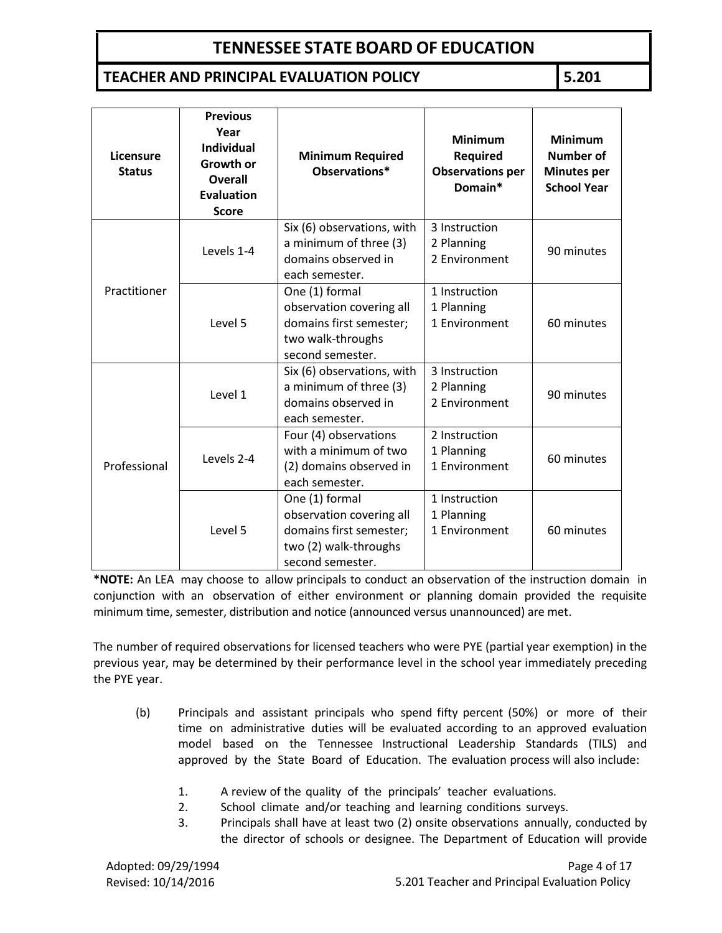## **TEACHER AND PRINCIPAL EVALUATION POLICY 5.201**

| Licensure<br><b>Status</b> | <b>Previous</b><br>Year<br><b>Individual</b><br>Growth or<br><b>Overall</b><br><b>Evaluation</b><br><b>Score</b> | <b>Minimum Required</b><br>Observations*                                                                           | <b>Minimum</b><br><b>Required</b><br><b>Observations per</b><br>Domain* | <b>Minimum</b><br><b>Number of</b><br><b>Minutes per</b><br><b>School Year</b> |
|----------------------------|------------------------------------------------------------------------------------------------------------------|--------------------------------------------------------------------------------------------------------------------|-------------------------------------------------------------------------|--------------------------------------------------------------------------------|
|                            | Levels 1-4                                                                                                       | Six (6) observations, with<br>a minimum of three (3)<br>domains observed in                                        | 3 Instruction<br>2 Planning<br>2 Environment                            | 90 minutes                                                                     |
|                            |                                                                                                                  | each semester.                                                                                                     |                                                                         |                                                                                |
| Practitioner<br>Level 5    |                                                                                                                  | One (1) formal<br>observation covering all<br>domains first semester;<br>two walk-throughs<br>second semester.     | 1 Instruction<br>1 Planning<br>1 Environment                            | 60 minutes                                                                     |
|                            | Level 1                                                                                                          | Six (6) observations, with<br>a minimum of three (3)<br>domains observed in<br>each semester.                      | 3 Instruction<br>2 Planning<br>2 Environment                            | 90 minutes                                                                     |
| Professional               | Levels 2-4                                                                                                       | Four (4) observations<br>with a minimum of two<br>(2) domains observed in<br>each semester.                        | 2 Instruction<br>1 Planning<br>1 Environment                            | 60 minutes                                                                     |
|                            | Level 5                                                                                                          | One (1) formal<br>observation covering all<br>domains first semester;<br>two (2) walk-throughs<br>second semester. | 1 Instruction<br>1 Planning<br>1 Environment                            | 60 minutes                                                                     |

**\*NOTE:** An LEA may choose to allow principals to conduct an observation of the instruction domain in conjunction with an observation of either environment or planning domain provided the requisite minimum time, semester, distribution and notice (announced versus unannounced) are met.

The number of required observations for licensed teachers who were PYE (partial year exemption) in the previous year, may be determined by their performance level in the school year immediately preceding the PYE year.

- (b) Principals and assistant principals who spend fifty percent (50%) or more of their time on administrative duties will be evaluated according to an approved evaluation model based on the Tennessee Instructional Leadership Standards (TILS) and approved by the State Board of Education. The evaluation process will also include:
	- 1. A review of the quality of the principals' teacher evaluations.
	- 2. School climate and/or teaching and learning conditions surveys.
	- 3. Principals shall have at least two (2) onsite observations annually, conducted by the director of schools or designee. The Department of Education will provide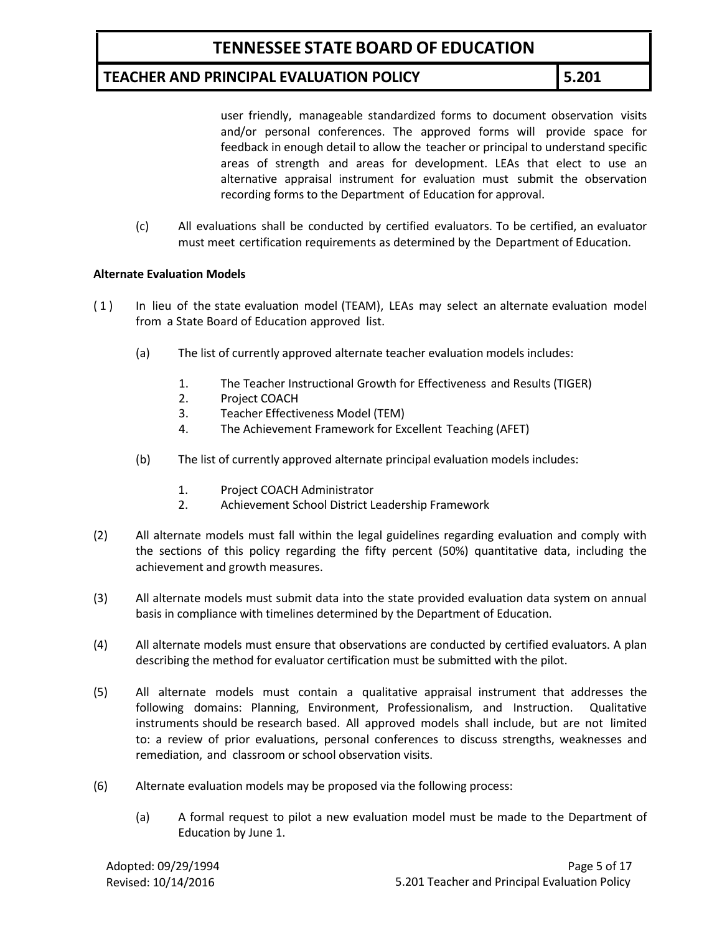## **TEACHER AND PRINCIPAL EVALUATION POLICY 5.201**

user friendly, manageable standardized forms to document observation visits and/or personal conferences. The approved forms will provide space for feedback in enough detail to allow the teacher or principal to understand specific areas of strength and areas for development. LEAs that elect to use an alternative appraisal instrument for evaluation must submit the observation recording forms to the Department of Education for approval.

(c) All evaluations shall be conducted by certified evaluators. To be certified, an evaluator must meet certification requirements as determined by the Department of Education.

#### **Alternate Evaluation Models**

- ( 1 ) In lieu of the state evaluation model (TEAM), LEAs may select an alternate evaluation model from a State Board of Education approved list.
	- (a) The list of currently approved alternate teacher evaluation models includes:
		- 1. The Teacher Instructional Growth for Effectiveness and Results (TIGER)
		- 2. Project COACH
		- 3. Teacher Effectiveness Model (TEM)
		- 4. The Achievement Framework for Excellent Teaching (AFET)
	- (b) The list of currently approved alternate principal evaluation models includes:
		- 1. Project COACH Administrator
		- 2. Achievement School District Leadership Framework
- (2) All alternate models must fall within the legal guidelines regarding evaluation and comply with the sections of this policy regarding the fifty percent (50%) quantitative data, including the achievement and growth measures.
- (3) All alternate models must submit data into the state provided evaluation data system on annual basis in compliance with timelines determined by the Department of Education.
- (4) All alternate models must ensure that observations are conducted by certified evaluators. A plan describing the method for evaluator certification must be submitted with the pilot.
- (5) All alternate models must contain a qualitative appraisal instrument that addresses the following domains: Planning, Environment, Professionalism, and Instruction. Qualitative instruments should be research based. All approved models shall include, but are not limited to: a review of prior evaluations, personal conferences to discuss strengths, weaknesses and remediation, and classroom or school observation visits.
- (6) Alternate evaluation models may be proposed via the following process:
	- (a) A formal request to pilot a new evaluation model must be made to the Department of Education by June 1.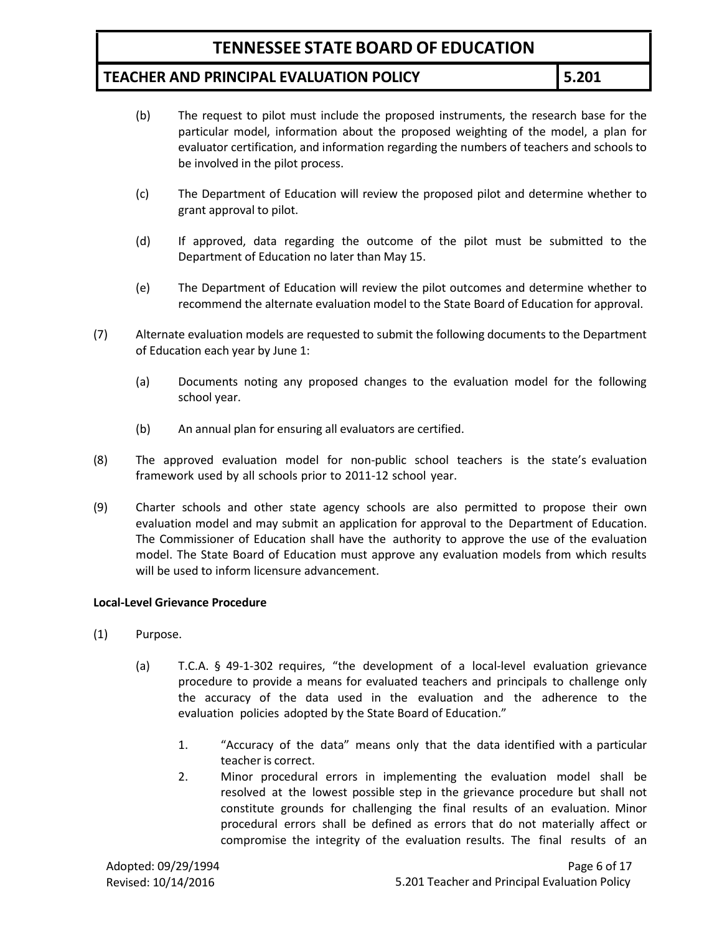### **TEACHER AND PRINCIPAL EVALUATION POLICY 5.201**

- (b) The request to pilot must include the proposed instruments, the research base for the particular model, information about the proposed weighting of the model, a plan for evaluator certification, and information regarding the numbers of teachers and schools to be involved in the pilot process.
- (c) The Department of Education will review the proposed pilot and determine whether to grant approval to pilot.
- (d) If approved, data regarding the outcome of the pilot must be submitted to the Department of Education no later than May 15.
- (e) The Department of Education will review the pilot outcomes and determine whether to recommend the alternate evaluation model to the State Board of Education for approval.
- (7) Alternate evaluation models are requested to submit the following documents to the Department of Education each year by June 1:
	- (a) Documents noting any proposed changes to the evaluation model for the following school year.
	- (b) An annual plan for ensuring all evaluators are certified.
- (8) The approved evaluation model for non-public school teachers is the state's evaluation framework used by all schools prior to 2011-12 school year.
- (9) Charter schools and other state agency schools are also permitted to propose their own evaluation model and may submit an application for approval to the Department of Education. The Commissioner of Education shall have the authority to approve the use of the evaluation model. The State Board of Education must approve any evaluation models from which results will be used to inform licensure advancement.

#### **Local-Level Grievance Procedure**

- (1) Purpose.
	- (a) T.C.A. § 49-1-302 requires, "the development of a local-level evaluation grievance procedure to provide a means for evaluated teachers and principals to challenge only the accuracy of the data used in the evaluation and the adherence to the evaluation policies adopted by the State Board of Education."
		- 1. "Accuracy of the data" means only that the data identified with a particular teacher is correct.
		- 2. Minor procedural errors in implementing the evaluation model shall be resolved at the lowest possible step in the grievance procedure but shall not constitute grounds for challenging the final results of an evaluation. Minor procedural errors shall be defined as errors that do not materially affect or compromise the integrity of the evaluation results. The final results of an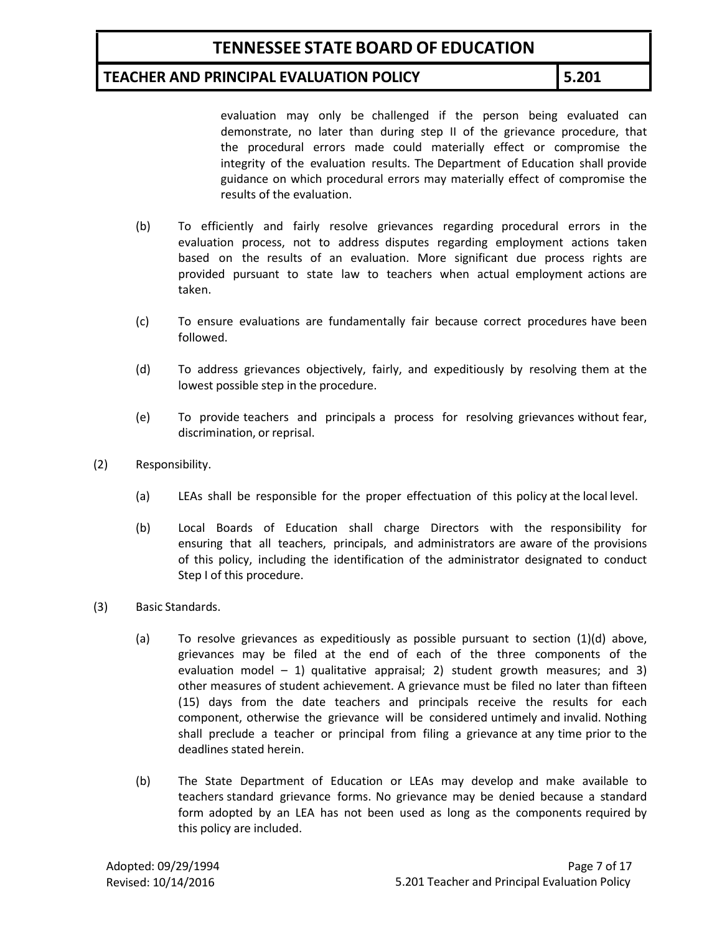### **TEACHER AND PRINCIPAL EVALUATION POLICY 5.201**

evaluation may only be challenged if the person being evaluated can demonstrate, no later than during step II of the grievance procedure, that the procedural errors made could materially effect or compromise the integrity of the evaluation results. The Department of Education shall provide guidance on which procedural errors may materially effect of compromise the results of the evaluation.

- (b) To efficiently and fairly resolve grievances regarding procedural errors in the evaluation process, not to address disputes regarding employment actions taken based on the results of an evaluation. More significant due process rights are provided pursuant to state law to teachers when actual employment actions are taken.
- (c) To ensure evaluations are fundamentally fair because correct procedures have been followed.
- (d) To address grievances objectively, fairly, and expeditiously by resolving them at the lowest possible step in the procedure.
- (e) To provide teachers and principals a process for resolving grievances without fear, discrimination, or reprisal.
- (2) Responsibility.
	- (a) LEAs shall be responsible for the proper effectuation of this policy at the local level.
	- (b) Local Boards of Education shall charge Directors with the responsibility for ensuring that all teachers, principals, and administrators are aware of the provisions of this policy, including the identification of the administrator designated to conduct Step I of this procedure.
- (3) Basic Standards.
	- (a) To resolve grievances as expeditiously as possible pursuant to section  $(1)(d)$  above, grievances may be filed at the end of each of the three components of the evaluation model  $-1$ ) qualitative appraisal; 2) student growth measures; and 3) other measures of student achievement. A grievance must be filed no later than fifteen (15) days from the date teachers and principals receive the results for each component, otherwise the grievance will be considered untimely and invalid. Nothing shall preclude a teacher or principal from filing a grievance at any time prior to the deadlines stated herein.
	- (b) The State Department of Education or LEAs may develop and make available to teachers standard grievance forms. No grievance may be denied because a standard form adopted by an LEA has not been used as long as the components required by this policy are included.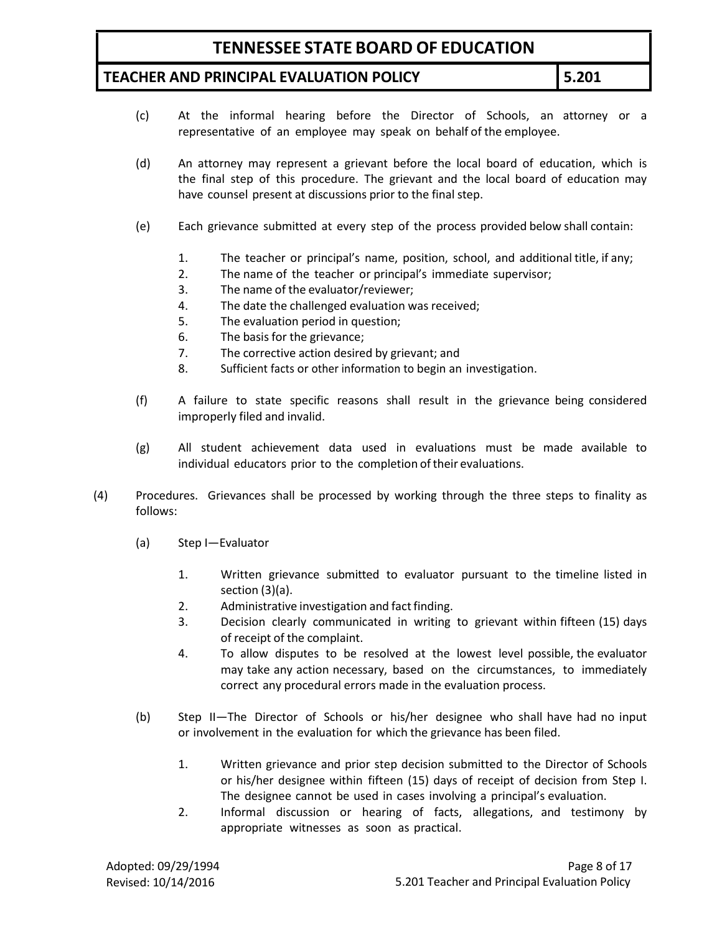### **TEACHER AND PRINCIPAL EVALUATION POLICY 5.201**

- (c) At the informal hearing before the Director of Schools, an attorney or a representative of an employee may speak on behalf of the employee.
- (d) An attorney may represent a grievant before the local board of education, which is the final step of this procedure. The grievant and the local board of education may have counsel present at discussions prior to the final step.
- (e) Each grievance submitted at every step of the process provided below shall contain:
	- 1. The teacher or principal's name, position, school, and additional title, if any;
	- 2. The name of the teacher or principal's immediate supervisor;
	- 3. The name of the evaluator/reviewer;
	- 4. The date the challenged evaluation was received;
	- 5. The evaluation period in question;
	- 6. The basis for the grievance;
	- 7. The corrective action desired by grievant; and
	- 8. Sufficient facts or other information to begin an investigation.
- (f) A failure to state specific reasons shall result in the grievance being considered improperly filed and invalid.
- (g) All student achievement data used in evaluations must be made available to individual educators prior to the completion of their evaluations.
- (4) Procedures. Grievances shall be processed by working through the three steps to finality as follows:
	- (a) Step I—Evaluator
		- 1. Written grievance submitted to evaluator pursuant to the timeline listed in section (3)(a).
		- 2. Administrative investigation and fact finding.
		- 3. Decision clearly communicated in writing to grievant within fifteen (15) days of receipt of the complaint.
		- 4. To allow disputes to be resolved at the lowest level possible, the evaluator may take any action necessary, based on the circumstances, to immediately correct any procedural errors made in the evaluation process.
	- (b) Step II—The Director of Schools or his/her designee who shall have had no input or involvement in the evaluation for which the grievance has been filed.
		- 1. Written grievance and prior step decision submitted to the Director of Schools or his/her designee within fifteen (15) days of receipt of decision from Step I. The designee cannot be used in cases involving a principal's evaluation.
		- 2. Informal discussion or hearing of facts, allegations, and testimony by appropriate witnesses as soon as practical.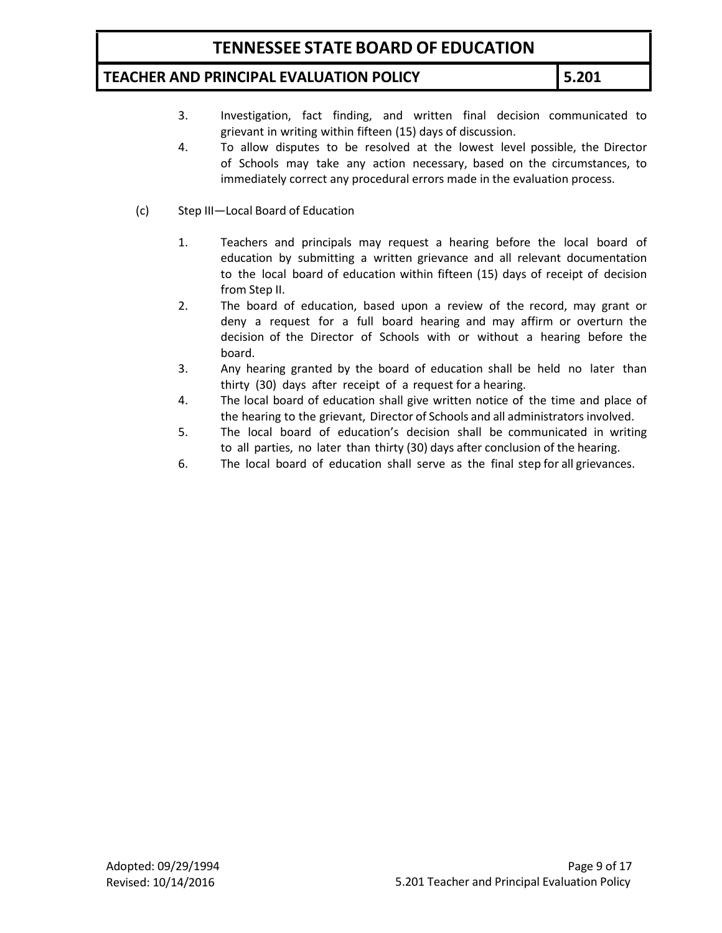### **TEACHER AND PRINCIPAL EVALUATION POLICY 5.201**

- 3. Investigation, fact finding, and written final decision communicated to grievant in writing within fifteen (15) days of discussion.
- 4. To allow disputes to be resolved at the lowest level possible, the Director of Schools may take any action necessary, based on the circumstances, to immediately correct any procedural errors made in the evaluation process.
- (c) Step III—Local Board of Education
	- 1. Teachers and principals may request a hearing before the local board of education by submitting a written grievance and all relevant documentation to the local board of education within fifteen (15) days of receipt of decision from Step II.
	- 2. The board of education, based upon a review of the record, may grant or deny a request for a full board hearing and may affirm or overturn the decision of the Director of Schools with or without a hearing before the board.
	- 3. Any hearing granted by the board of education shall be held no later than thirty (30) days after receipt of a request for a hearing.
	- 4. The local board of education shall give written notice of the time and place of the hearing to the grievant, Director of Schools and all administrators involved.
	- 5. The local board of education's decision shall be communicated in writing to all parties, no later than thirty (30) days after conclusion of the hearing.
	- 6. The local board of education shall serve as the final step for all grievances.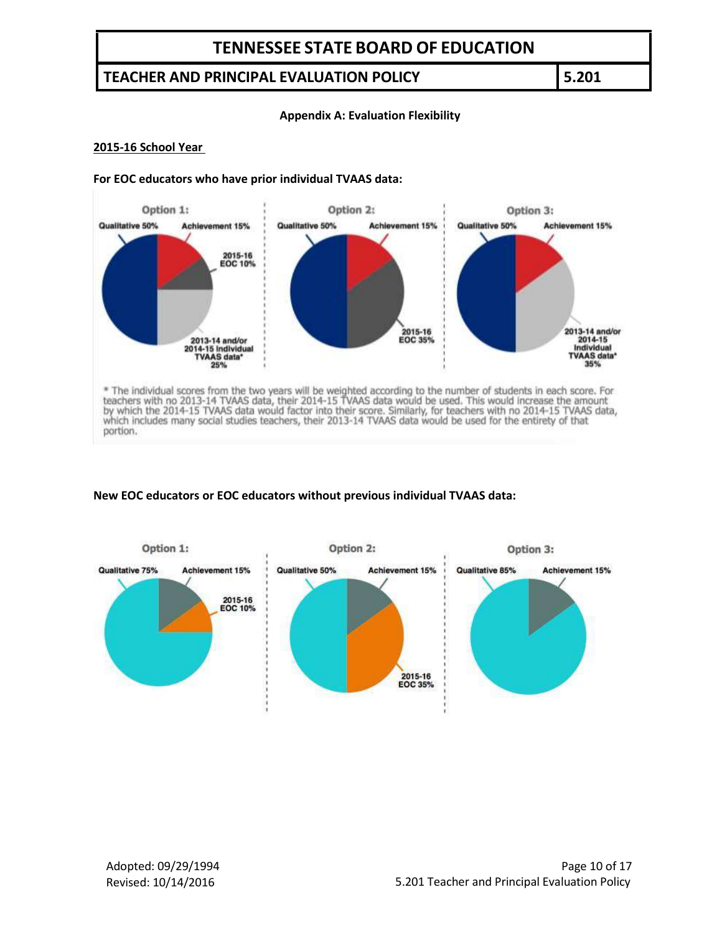### **TEACHER AND PRINCIPAL EVALUATION POLICY 5.201**

#### **Appendix A: Evaluation Flexibility**

#### **2015-16 School Year**

#### **For EOC educators who have prior individual TVAAS data:**



\* The individual scores from the two years will be weighted according to the number of students in each score. For<br>teachers with no 2013-14 TVAAS data, their 2014-15 TVAAS data would be used. This would increase the amount portion.

#### **New EOC educators or EOC educators without previous individual TVAAS data:**

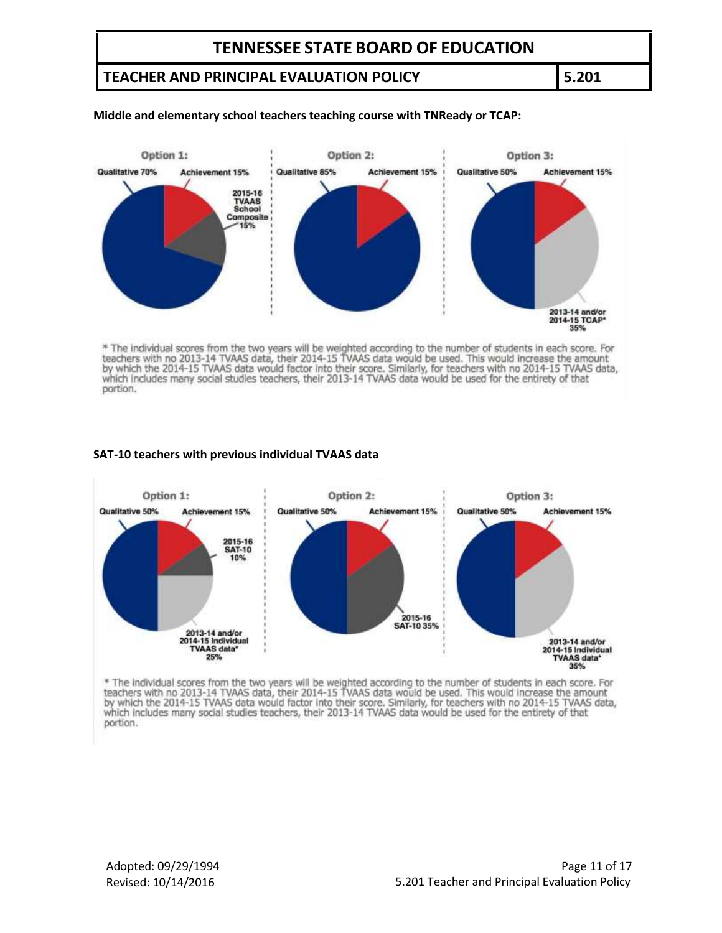## **TEACHER AND PRINCIPAL EVALUATION POLICY 5.201**

#### **Middle and elementary school teachers teaching course with TNReady or TCAP:**



\* The individual scores from the two years will be weighted according to the number of students in each score. For<br>teachers with no 2013-14 TVAAS data, their 2014-15 TVAAS data would be used. This would increase the amount which includes many social studies teachers, their 2013-14 TVAAS data would be used for the entirety of that portion.

#### **SAT-10 teachers with previous individual TVAAS data**



\* The individual scores from the two years will be weighted according to the number of students in each score. For teachers with no 2013-14 TVAAS data, their 2014-15 TVAAS data would be used. This would increase the amount by which the 2014-15 TVAAS data would factor into their score. Similarly, for teachers with no 2014-15 TVAAS data, which includes many social studies teachers, their 2013-14 TVAAS data would be used for the entirety of tha portion.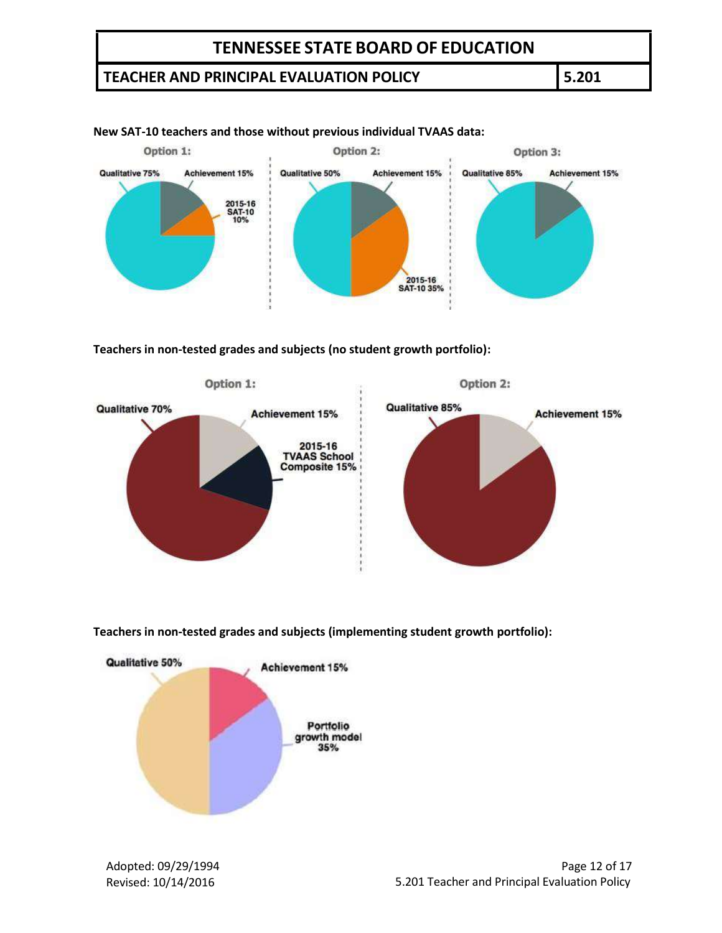## **TEACHER AND PRINCIPAL EVALUATION POLICY 5.201**



#### **New SAT-10 teachers and those without previous individual TVAAS data:**

**Teachers in non-tested grades and subjects (no student growth portfolio):**



**Teachers in non-tested grades and subjects (implementing student growth portfolio):**



Adopted: 09/29/1994 Revised: 10/14/2016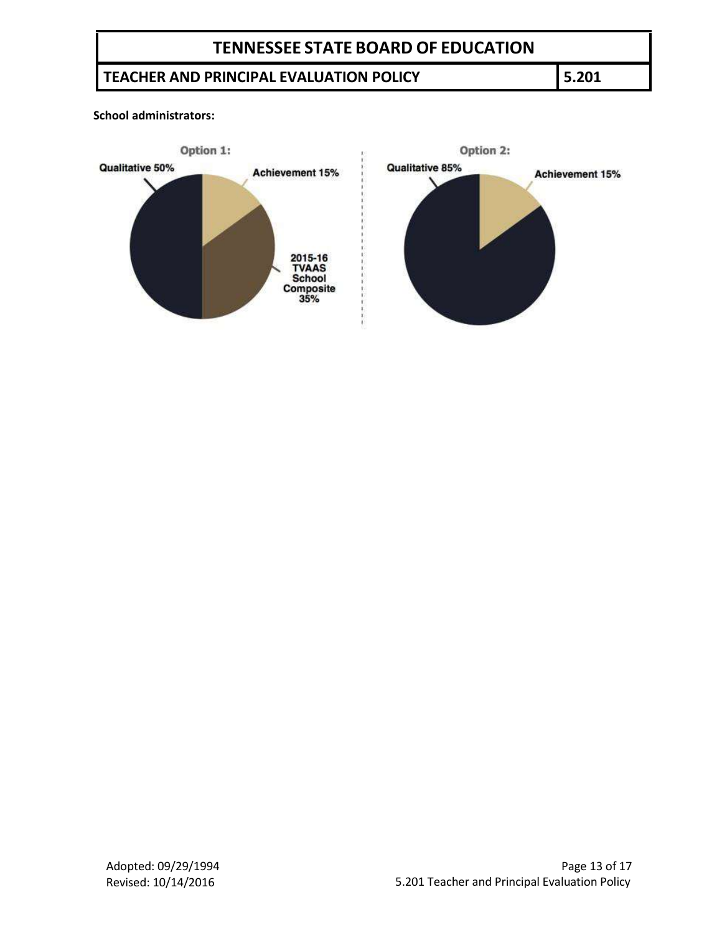# **TEACHER AND PRINCIPAL EVALUATION POLICY 5.201**

**School administrators:**

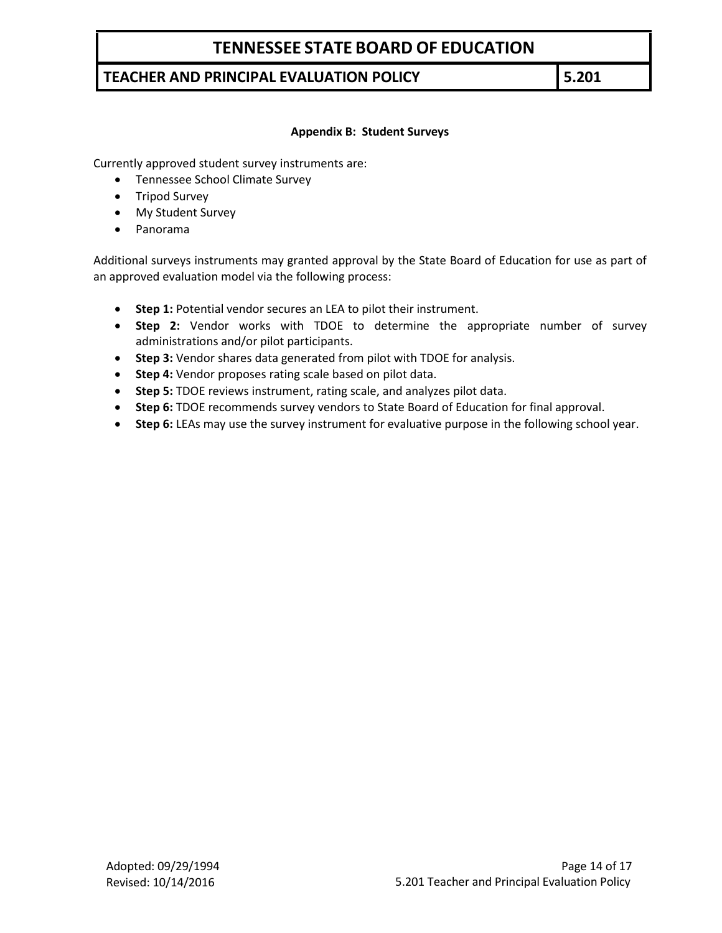## **TEACHER AND PRINCIPAL EVALUATION POLICY 5.201**

#### **Appendix B: Student Surveys**

Currently approved student survey instruments are:

- Tennessee School Climate Survey
- Tripod Survey
- My Student Survey
- Panorama

Additional surveys instruments may granted approval by the State Board of Education for use as part of an approved evaluation model via the following process:

- **•** Step 1: Potential vendor secures an LEA to pilot their instrument.
- **Step 2:** Vendor works with TDOE to determine the appropriate number of survey administrations and/or pilot participants.
- **Step 3:** Vendor shares data generated from pilot with TDOE for analysis.
- **Step 4:** Vendor proposes rating scale based on pilot data.
- **Step 5:** TDOE reviews instrument, rating scale, and analyzes pilot data.
- **Step 6:** TDOE recommends survey vendors to State Board of Education for final approval.
- **Step 6:** LEAs may use the survey instrument for evaluative purpose in the following school year.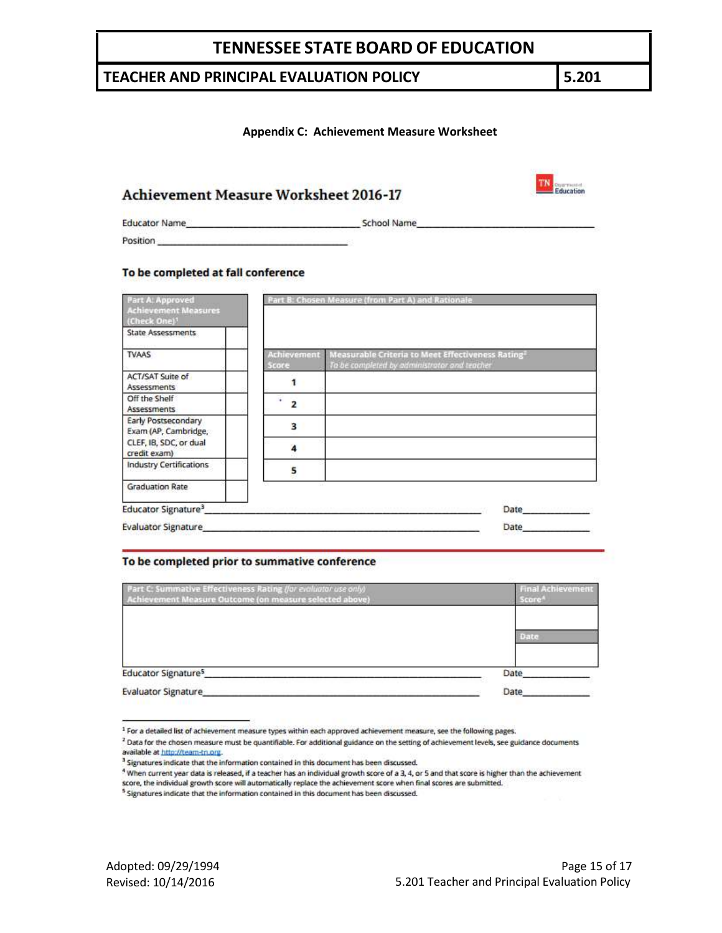### **TEACHER AND PRINCIPAL EVALUATION POLICY 5.201**

#### **Appendix C: Achievement Measure Worksheet**

| <b>Achievement Measure Worksheet 2016-17</b> |  |
|----------------------------------------------|--|
|----------------------------------------------|--|

**Educator Name** 

\_School Name

Position

#### To be completed at fall conference

| <b>Part A: Approved</b><br><b>Achievement Measures</b><br>(Check One) <sup>1</sup> |       | Part B: Chosen Measure (from Part A) and Rationale                                                                                 |
|------------------------------------------------------------------------------------|-------|------------------------------------------------------------------------------------------------------------------------------------|
| <b>State Assessments</b>                                                           |       |                                                                                                                                    |
| <b>TVAAS</b>                                                                       | Score | Achievement Measurable Criteria to Meet Effectiveness Rating <sup>2</sup><br>To be completed by administrator and teacher          |
| ACT/SAT Suite of<br>Assessments                                                    |       |                                                                                                                                    |
| Off the Shelf<br><b>Assessments</b>                                                |       |                                                                                                                                    |
| Early Postsecondary<br>Exam (AP, Cambridge,                                        | з     |                                                                                                                                    |
| CLEF, IB, SDC, or dual<br>credit exam)                                             |       |                                                                                                                                    |
| <b>Industry Certifications</b>                                                     | 5     |                                                                                                                                    |
| <b>Graduation Rate</b>                                                             |       |                                                                                                                                    |
| Educator Signature <sup>3</sup>                                                    |       | Administration of the control country of the comment of the Common Automatical Administration of the Common Country<br><b>Date</b> |
| <b>Evaluator Signature</b>                                                         |       | Date                                                                                                                               |

#### To be completed prior to summative conference

| Part C: Summative Effectiveness Rating (for evoluctor use only)<br>Achievement Measure Outcome (on measure selected above) | <b>Final Achievement</b><br>score |  |
|----------------------------------------------------------------------------------------------------------------------------|-----------------------------------|--|
|                                                                                                                            | Date                              |  |
| <b>Educator Signature<sup>5</sup></b>                                                                                      | Date                              |  |
| <b>Evaluator Signature</b>                                                                                                 | Date                              |  |

TN Education

<sup>&</sup>lt;sup>1</sup> For a detailed list of achievement measure types within each approved achievement measure, see the following pages.

<sup>&</sup>lt;sup>2</sup> Data for the chosen measure must be quantifiable. For additional guidance on the setting of achievement levels, see guidance documents available at http://team-tn.org.

<sup>&</sup>lt;sup>3</sup> Signatures indicate that the information contained in this document has been discussed.

<sup>&</sup>lt;sup>4</sup> When current year data is released, if a teacher has an individual growth score of a 3, 4, or 5 and that score is higher than the achievement score, the individual growth score will automatically replace the achievement score when final scores are submitted.

<sup>&</sup>lt;sup>5</sup> Signatures indicate that the information contained in this document has been discussed.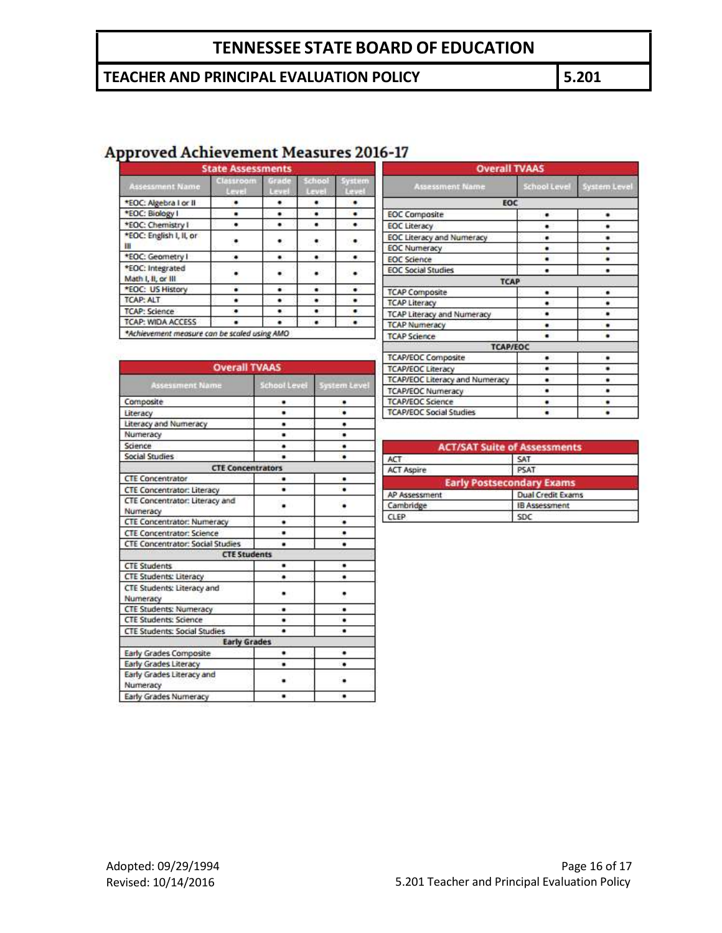# **TEACHER AND PRINCIPAL EVALUATION POLICY 5.201**

# **Approved Achievement Measures 2016-17**

| Assessment Name                        | Classroom<br><b>Card A</b> | Grade<br><b>LATH</b> | teheo.<br>$L = 2 +$ | vetem |
|----------------------------------------|----------------------------|----------------------|---------------------|-------|
| *EOC: Algebra I or II                  |                            |                      |                     |       |
| *EOC: Biology I                        |                            |                      |                     |       |
| *EOC: Chemistry I                      |                            |                      |                     |       |
| *EOC: English I, II, or<br>ш           |                            |                      |                     |       |
| *EOC: Geometry I                       |                            |                      |                     | . .   |
| *EOC: Integrated<br>Math I, II, or III |                            |                      |                     |       |
| *EOC: US History                       |                            |                      |                     |       |
| <b>TCAP: ALT</b>                       |                            |                      |                     |       |
| <b>TCAP: Science</b>                   |                            |                      |                     |       |
| <b>TCAP: WIDA ACCESS</b>               |                            |                      |                     |       |

| <b>Overall TVAAS</b>                  |              |              |
|---------------------------------------|--------------|--------------|
| <b>Assessment Name</b>                | School Level | System Level |
| <b>EOC</b>                            |              |              |
| <b>EOC</b> Composite                  |              |              |
| <b>EOC Literacy</b>                   |              |              |
| EOC Literacy and Numeracy             |              |              |
| <b>EOC Numeracy</b>                   |              |              |
| <b>EOC</b> Science                    | ٠            |              |
| <b>EOC Social Studies</b>             |              |              |
| <b>TCAP</b>                           |              |              |
| <b>TCAP Composite</b>                 |              |              |
| <b>TCAP Literacy</b>                  |              |              |
| TCAP Literacy and Numeracy            |              |              |
| <b>TCAP Numeracy</b>                  | ٠            |              |
| <b>TCAP Science</b>                   | ٠            |              |
| <b>TCAP/EOC</b>                       |              |              |
| <b>TCAP/EOC Composite</b>             | ۰            | ٠            |
| <b>TCAP/EOC Literacy</b>              | ۰            |              |
| <b>TCAP/EOC Literacy and Numeracy</b> |              |              |
| <b>TCAP/EOC Numeracy</b>              | ٠            | ٠            |
| <b>TCAP/EOC Science</b>               | ٠            |              |
| <b>TCAP/EOC Social Studies</b>        |              |              |

| <b>Overall TVAAS</b>                       |              |                     |  |
|--------------------------------------------|--------------|---------------------|--|
| <b>Assessment Name</b>                     | School Level | <b>System Level</b> |  |
| Composite                                  |              |                     |  |
| Literacy                                   |              |                     |  |
| Literacy and Numeracy                      | ٠            |                     |  |
| Numeracy                                   | ٠            |                     |  |
| Science                                    | ٠            | ٠                   |  |
| <b>Social Studies</b>                      | ٠            |                     |  |
| <b>CTE Concentrators</b>                   |              |                     |  |
| <b>CTE Concentrator</b>                    | ٠            | ٠                   |  |
| <b>CTE Concentrator: Literacy</b>          | ۰            |                     |  |
| CTE Concentrator: Literacy and<br>Numeracy |              |                     |  |
| <b>CTE Concentrator: Numeracy</b>          | ۰            | ۰                   |  |
| <b>CTE Concentrator: Science</b>           | ٠            |                     |  |
| <b>CTE Concentrator: Social Studies</b>    | ٠            |                     |  |
| <b>CTE Students</b>                        |              |                     |  |
| <b>CTE Students</b>                        | ٠            |                     |  |
| <b>CTE Students: Literacy</b>              |              |                     |  |
| CTE Students: Literacy and<br>Numeracy     |              |                     |  |
| <b>CTE Students: Numeracy</b>              | ۰            |                     |  |
| <b>CTE Students: Science</b>               |              |                     |  |
| <b>CTE Students: Social Studies</b>        |              |                     |  |
| <b>Early Grades</b>                        |              |                     |  |
| Early Grades Composite                     | ٠            |                     |  |
| Early Grades Literacy                      | ٠            |                     |  |
| Early Grades Literacy and<br>Numeracy      |              |                     |  |
| Early Grades Numeracy                      | ٠            |                     |  |

|                   | <b>ACT/SAT Suite of Assessments</b> |
|-------------------|-------------------------------------|
| <b>ACT</b>        | SAT                                 |
| <b>ACT Aspire</b> | PSAT                                |
|                   | <b>Early Postsecondary Exams</b>    |
| AP Assessment     | <b>Dual Credit Exams</b>            |
| Cambridge         | <b>IB Assessment</b>                |
| CLEP              | <b>SDC</b>                          |